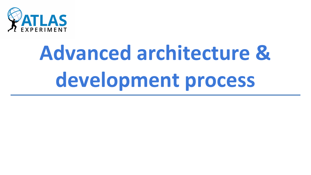

# **Advanced architecture & development process**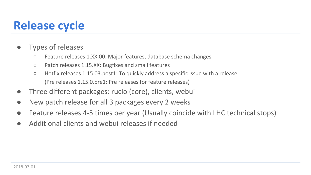#### **Release cycle**

- **●** Types of releases
	- **○** Feature releases 1.XX.00: Major features, database schema changes
	- **○** Patch releases 1.15.XX: Bugfixes and small features
	- **○** Hotfix releases 1.15.03.post1: To quickly address a specific issue with a release
	- **○** (Pre releases 1.15.0.pre1: Pre releases for feature releases)
- **●** Three different packages: rucio (core), clients, webui
- **●** New patch release for all 3 packages every 2 weeks
- Feature releases 4-5 times per year (Usually coincide with LHC technical stops)
- **●** Additional clients and webui releases if needed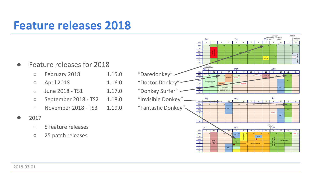#### **Feature releases 2018**

- **●** Feature releases for 2018
	- **○** February 2018 1.15.0 "Daredonkey"
	- April 2018 **1.16.0** "Doctor Donkey" ·
	- June 2018 TS1 1.17.0 "Donkey Surfer"
	- **○** September 2018 TS2 1.18.0 "Invisible Donkey"
	- **○** November 2018 TS3 1.19.0 "Fantastic Donkey"
- **●** 2017
	- **○** 5 feature releases
	- **○** 25 patch releases



2018-03-01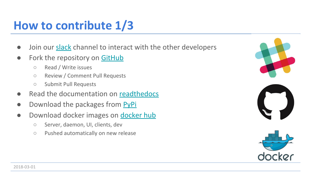# **How to contribute 1/3**

- **●** Join our [slack](http://rucio.slack.com) channel to interact with the other developers
- **●** Fork the repository on [GitHub](https://www.github.com/rucio/rucio)
	- **○** Read / Write issues
	- **○** Review / Comment Pull Requests
	- **○** Submit Pull Requests
- **●** Read the documentation on [readthedocs](http://rucio.readthedocs.io/)
- **•** Download the packages from **PyPi**
- **●** Download docker images on [docker hub](https://hub.docker.com/r/rucio/)
	- **○** Server, daemon, UI, clients, dev
	- **○** Pushed automatically on new release



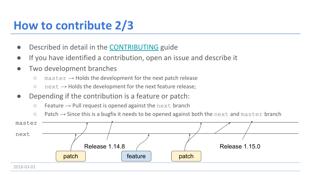# **How to contribute 2/3**

- Described in detail in the **[CONTRIBUTING](https://github.com/rucio/rucio/blob/master/CONTRIBUTING.rst)** guide
- **●** If you have identified a contribution, open an issue and describe it
- Two development branches
	- **○** master → Holds the development for the next patch release
	- **○** next → Holds the development for the next feature release;
- **●** Depending if the contribution is a feature or patch:
	- **○** Feature → Pull request is opened against the next branch
	- **○** Patch → Since this is a bugfix it needs to be opened against both the next and master branch



2018-03-01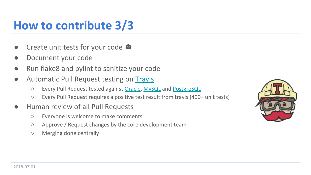## **How to contribute 3/3**

- Create unit tests for your code  $\bullet$
- **●** Document your code
- **●** Run flake8 and pylint to sanitize your code
- **Automatic Pull Request testing on [Travis](https://travis-ci.org/)** 
	- **○** Every Pull Request tested against [Oracle](http://www.oracle.com/technetwork/database/database-technologies/express-edition/overview/index.html), [MySQL](https://www.mysql.com/) and [PostgreSQL](https://www.postgresql.org/)
	- **○** Every Pull Request requires a positive test result from travis (400+ unit tests)
- **●** Human review of all Pull Requests
	- **○** Everyone is welcome to make comments
	- **○** Approve / Request changes by the core development team
	- **○** Merging done centrally

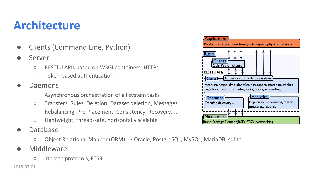#### **Architecture**

- **●** Clients (Command Line, Python)
- **●** Server
	- **○** RESTful APIs based on WSGI containers, HTTPs
	- **○** Token-based authentication
- **●** Daemons
	- **○** Asynchronous orchestration of all system tasks
	- **○** Transfers, Rules, Deletion, Dataset deletion, Messages Rebalancing, Pre-Placement, Consistency, Recovery, …
	- **○** Lightweight, thread-safe, horizontally scalable
- **●** Database
	- **○** Object Relational Mapper (ORM) → Oracle, PostgreSQL, MySQL, MariaDB, sqlite
- **●** Middleware
	- **○** Storage protocols, FTS3

2018-03-01

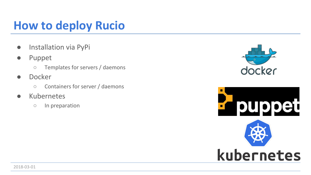# **How to deploy Rucio**

- **●** Installation via PyPi
- **●** Puppet
	- **○** Templates for servers / daemons
- **●** Docker
	- **○** Containers for server / daemons
- **●** Kubernetes
	- **○** In preparation



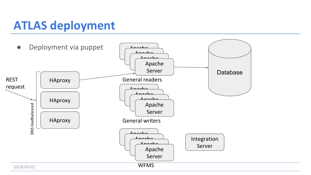#### **ATLAS deployment**

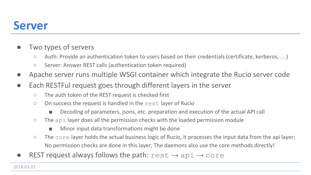#### **Server**

- **●** Two types of servers
	- **○** Auth: Provide an authentication token to users based on their credentials (certificate, kerberos, …)
	- **○** Server: Answer REST calls (authentication token required)
- **●** Apache server runs multiple WSGI container which integrate the Rucio server code
- **●** Each RESTFul request goes through different layers in the server
	- **○** The auth token of the REST request is checked first
	- **○** On success the request is handled in the rest layer of Rucio
		- Decoding of parameters, jsons, etc. preparation and execution of the actual API call
	- **○** The api layer does all the permission checks with the loaded permission module
		- Minor input data transformations might be done
	- **○** The core layer holds the actual business logic of Rucio, it processes the input data from the api layer; No permission checks are done in this layer; The daemons also use the core methods directly!
- **REST request always follows the path:**  $rest \rightarrow$  api  $\rightarrow$  core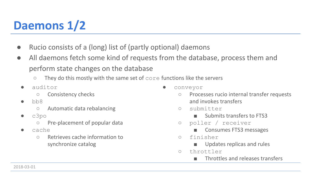# **Daemons 1/2**

- **●** Rucio consists of a (long) list of (partly optional) daemons
- **●** All daemons fetch some kind of requests from the database, process them and perform state changes on the database
	- They do this mostly with the same set of core functions like the servers
	- auditor
		- Consistency checks
	- bb8
		- Automatic data rebalancing
	- c3po
		- Pre-placement of popular data
	- cache
		- Retrieves cache information to synchronize catalog
- conveyor
	- Processes rucio internal transfer requests and invokes transfers
	- submitter
		- Submits transfers to FTS3
	- poller / receiver
		- Consumes FTS3 messages
	- finisher
		- Updates replicas and rules
	- throttler
		- Throttles and releases transfers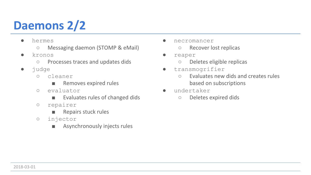# **Daemons 2/2**

- hermes
	- Messaging daemon (STOMP & eMail)
- kronos
	- Processes traces and updates dids
- judge
	- cleaner
		- Removes expired rules
	- evaluator
		- Evaluates rules of changed dids
	- repairer
		- Repairs stuck rules
	- injector
		- Asynchronously injects rules
- necromancer
	- Recover lost replicas
- reaper
	- Deletes eligible replicas
- transmogrifier
	- Evaluates new dids and creates rules based on subscriptions
- undertaker
	- Deletes expired dids